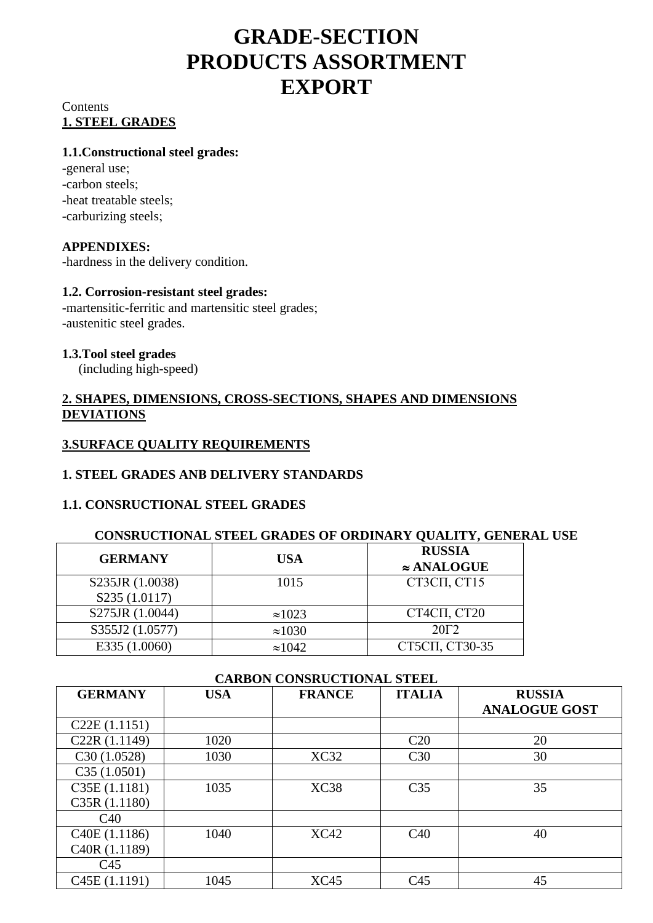# **GRADE-SECTION PRODUCTS ASSORTMENT EXPORT**

## **Contents 1. STEEL GRADES**

#### **1.1.Constructional steel grades:**

-general use -carbon steels -heat treatable steels -carburizing steels;

## **APPENDIXES:**

-hardness in the delivery condition.

#### **1.2. Corrosion-resistant steel grades:**

-martensitic-ferritic and martensitic steel grades -austenitic steel grades.

#### **1.3.Tool steel grades**

(including high-speed)

## **2. SHAPES, DIMENSIONS, CROSS-SECTIONS, SHAPES AND DIMENSIONS DEVIATIONS**

## **3.SURFACE QUALITY REQUIREMENTS**

## **1. STEEL GRADES ANВ DELIVERY STANDARDS**

## **1.1. CONSRUCTIONAL STEEL GRADES**

#### **CONSRUCTIONAL STEEL GRADES OF ORDINARY QUALITY, GENERAL USE**

| <b>GERMANY</b>  | <b>USA</b>     | <b>RUSSIA</b><br>$\approx$ ANALOGUE |
|-----------------|----------------|-------------------------------------|
| S235JR (1.0038) | 1015           | CT3CII, CT15                        |
| S235 (1.0117)   |                |                                     |
| S275JR (1.0044) | $\approx 1023$ | СТ4СП, СТ20                         |
| S355J2 (1.0577) | $\approx 1030$ | $20\Gamma2$                         |
| E335 (1.0060)   | $\approx 1042$ | СТ5СП, СТ30-35                      |

| CARBON CONSRUCTIONAL STEEL |            |               |                 |                      |
|----------------------------|------------|---------------|-----------------|----------------------|
| <b>GERMANY</b>             | <b>USA</b> | <b>FRANCE</b> | <b>ITALIA</b>   | <b>RUSSIA</b>        |
|                            |            |               |                 | <b>ANALOGUE GOST</b> |
| C22E(1.1151)               |            |               |                 |                      |
| C <sub>22</sub> R (1.1149) | 1020       |               | C20             | 20                   |
| C30(1.0528)                | 1030       | XC32          | C <sub>30</sub> | 30                   |
| C35(1.0501)                |            |               |                 |                      |
| C35E (1.1181)              | 1035       | XC38          | C <sub>35</sub> | 35                   |
| C35R(1.1180)               |            |               |                 |                      |
| C40                        |            |               |                 |                      |
| C40E(1.1186)               | 1040       | XC42          | C40             | 40                   |
| C <sub>40</sub> R (1.1189) |            |               |                 |                      |
| C <sub>45</sub>            |            |               |                 |                      |
| C <sub>45</sub> E (1.1191) | 1045       | <b>XC45</b>   | C <sub>45</sub> | 45                   |

#### **CARBON CONSRUCTIONAL STEEL**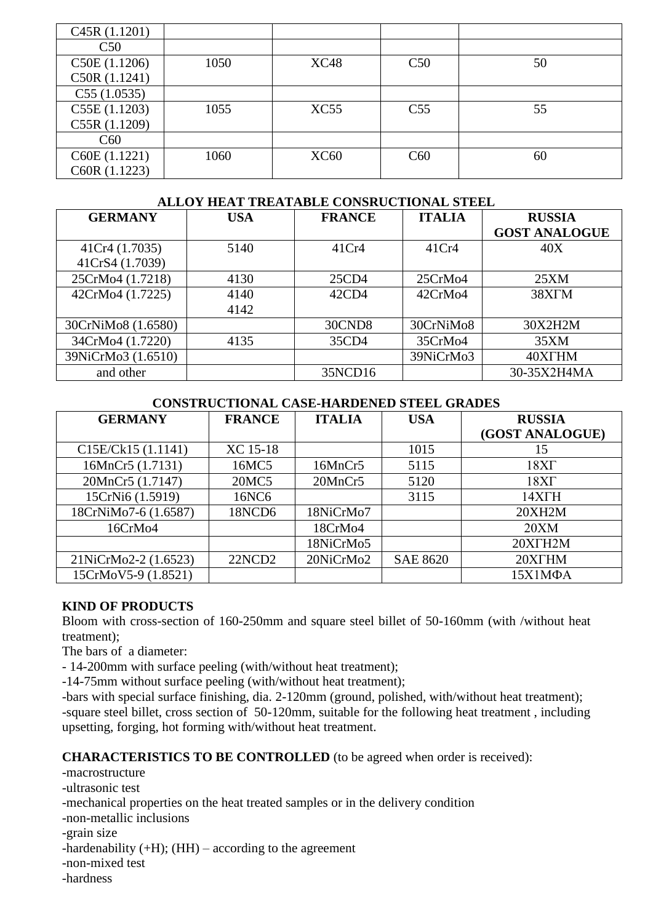| C45R(1.1201)  |      |             |                 |    |
|---------------|------|-------------|-----------------|----|
| C50           |      |             |                 |    |
| C50E (1.1206) | 1050 | <b>XC48</b> | C50             | 50 |
| C50R (1.1241) |      |             |                 |    |
| C55(1.0535)   |      |             |                 |    |
| C55E (1.1203) | 1055 | XC55        | C <sub>55</sub> | 55 |
| C55R (1.1209) |      |             |                 |    |
| C60           |      |             |                 |    |
| C60E (1.1221) | 1060 | <b>XC60</b> | C60             | 60 |
| C60R (1.1223) |      |             |                 |    |

#### **ALLOY HEAT TREATABLE CONSRUCTIONAL STEEL**

| <b>GERMANY</b>     | <b>USA</b> | <b>FRANCE</b> | <b>ITALIA</b> | <b>RUSSIA</b>        |
|--------------------|------------|---------------|---------------|----------------------|
|                    |            |               |               | <b>GOST ANALOGUE</b> |
| 41Cr4 (1.7035)     | 5140       | 41Cr4         | 41Cr4         | 40X                  |
| 41CrS4 (1.7039)    |            |               |               |                      |
| 25CrMo4 (1.7218)   | 4130       | 25CD4         | 25CrMo4       | 25XM                 |
| 42CrMo4 (1.7225)   | 4140       | 42CD4         | 42CrMo4       | 38X <sub>I</sub> M   |
|                    | 4142       |               |               |                      |
| 30CrNiMo8 (1.6580) |            | 30CND8        | 30CrNiMo8     | 30X2H2M              |
| 34CrMo4 (1.7220)   | 4135       | 35CD4         | 35CrMo4       | 35XM                 |
| 39NiCrMo3 (1.6510) |            |               | 39NiCrMo3     | 40XTHM               |
| and other          |            | 35NCD16       |               | 30-35X2H4MA          |

#### **CONSTRUCTIONAL CASE-HARDENED STEEL GRADES**

| <b>GERMANY</b>       | <b>FRANCE</b>      | <b>ITALIA</b> | <b>USA</b>      | <b>RUSSIA</b>   |
|----------------------|--------------------|---------------|-----------------|-----------------|
|                      |                    |               |                 | (GOST ANALOGUE) |
| C15E/Ck15 (1.1141)   | XC 15-18           |               | 1015            | 15              |
| 16MnCr5 (1.7131)     | 16MC5              | 16MnCr5       | 5115            | 18XT            |
| 20MnCr5 (1.7147)     | 20MC5              | 20MnCr5       | 5120            | 18XT            |
| 15CrNi6 (1.5919)     | 16NC6              |               | 3115            | 14XTH           |
| 18CrNiMo7-6 (1.6587) | 18NCD6             | 18NiCrMo7     |                 | 20XH2M          |
| 16CrMo4              |                    | 18CrMo4       |                 | 20XM            |
|                      |                    | 18NiCrMo5     |                 | 20XTH2M         |
| 21NiCrMo2-2 (1.6523) | 22NCD <sub>2</sub> | 20NiCrMo2     | <b>SAE 8620</b> | 20XTHM          |
| 15CrMoV5-9 (1.8521)  |                    |               |                 | 15Χ1ΜΦΑ         |

#### **KIND OF PRODUCTS**

Bloom with cross-section of 160-250mm and square steel billet of 50-160mm (with /without heat treatment);

The bars of a diameter:

- 14-200mm with surface peeling (with/without heat treatment);

-14-75mm without surface peeling (with/without heat treatment);

-bars with special surface finishing, dia. 2-120mm (ground, polished, with/without heat treatment); -square steel billet, cross section of 50-120mm, suitable for the following heat treatment , including upsetting, forging, hot forming with/without heat treatment.

#### **CHARACTERISTICS TO BE CONTROLLED** (to be agreed when order is received):

-macrostructure

-ultrasonic test

-mechanical properties on the heat treated samples or in the delivery condition

-non-metallic inclusions

-grain size

-hardenability  $(+H)$ ;  $(HH)$  – according to the agreement

-non-mixed test

-hardness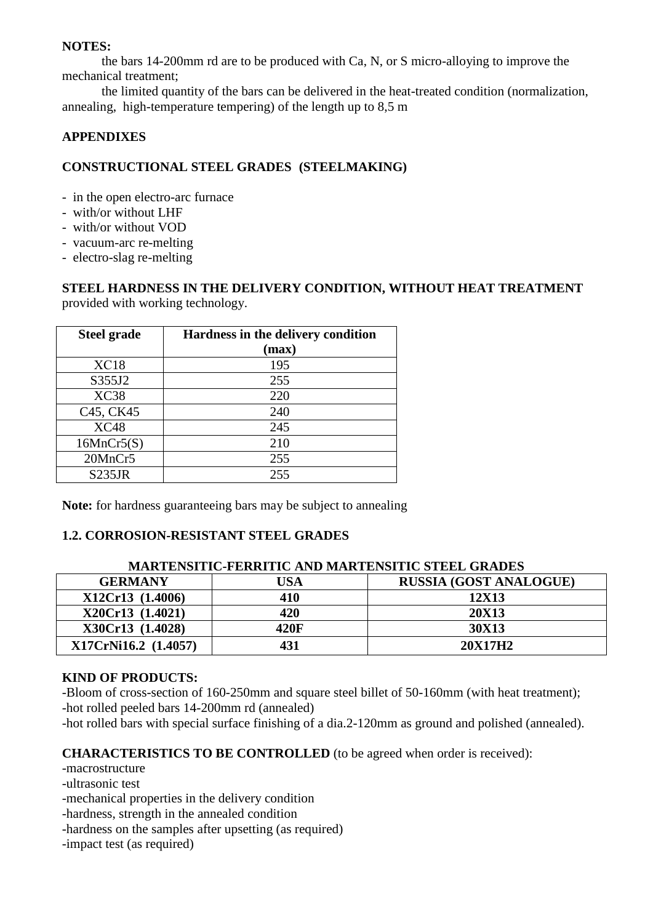#### **NOTES:**

the bars 14-200mm rd are to be produced with Ca, N, or S micro-alloying to improve the mechanical treatment;

the limited quantity of the bars can be delivered in the heat-treated condition (normalization, annealing, high-temperature tempering) of the length up to 8,5 m

## **APPENDIXES**

## **CONSTRUCTIONAL STEEL GRADES (STEELMAKING)**

- in the open electro-arc furnace
- with/or without LHF
- with/or without VOD
- vacuum-arc re-melting
- electro-slag re-melting

#### **STEEL HARDNESS IN THE DELIVERY CONDITION, WITHOUT HEAT TREATMENT** provided with working technology.

| <b>Steel grade</b>                 | Hardness in the delivery condition |  |  |
|------------------------------------|------------------------------------|--|--|
|                                    | (max)                              |  |  |
| XC18                               | 195                                |  |  |
| S355J2                             | 255                                |  |  |
| XC38                               | 220                                |  |  |
| C <sub>45</sub> , C <sub>K45</sub> | 240                                |  |  |
| <b>XC48</b>                        | 245                                |  |  |
| 16MnCr5(S)                         | 210                                |  |  |
| 20MnCr5                            | 255                                |  |  |
| <b>S235JR</b>                      | 255                                |  |  |

**Note:** for hardness guaranteeing bars may be subject to annealing

## **1.2. CORROSION-RESISTANT STEEL GRADES**

| <b>MARTENSITIC-FERRITIC AND MARTENSITIC STEEL GRADES</b> |      |                               |  |
|----------------------------------------------------------|------|-------------------------------|--|
| <b>GERMANY</b>                                           | USA  | <b>RUSSIA (GOST ANALOGUE)</b> |  |
| X12Cr13 (1.4006)                                         | 410  | 12X13                         |  |
| X20Cr13 (1.4021)                                         | 420  | <b>20X13</b>                  |  |
| X30Cr13 (1.4028)                                         | 420F | 30X13                         |  |
| X17CrNi16.2 (1.4057)                                     | 431  | 20X17H2                       |  |

## **KIND OF PRODUCTS:**

-Bloom of cross-section of 160-250mm and square steel billet of 50-160mm (with heat treatment); -hot rolled peeled bars 14-200mm rd (annealed)

-hot rolled bars with special surface finishing of a dia.2-120mm as ground and polished (annealed).

## **CHARACTERISTICS TO BE CONTROLLED** (to be agreed when order is received):

-macrostructure

-ultrasonic test

-mechanical properties in the delivery condition

-hardness, strength in the annealed condition

-hardness on the samples after upsetting (as required)

-impact test (as required)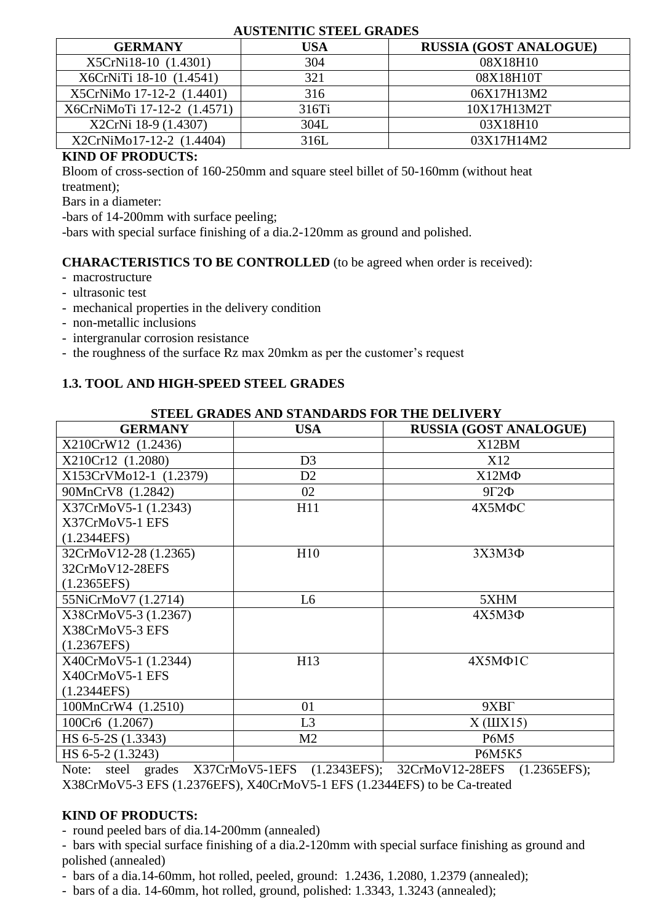#### **AUSTENITIC STEEL GRADES**

| <b>GERMANY</b>              | USA   | <b>RUSSIA (GOST ANALOGUE)</b> |
|-----------------------------|-------|-------------------------------|
| X5CrNi18-10 (1.4301)        | 304   | 08X18H10                      |
| X6CrNiTi 18-10 (1.4541)     | 321   | 08X18H10T                     |
| X5CrNiMo 17-12-2 (1.4401)   | 316   | 06X17H13M2                    |
| X6CrNiMoTi 17-12-2 (1.4571) | 316Ti | 10X17H13M2T                   |
| X2CrNi 18-9 (1.4307)        | 304L  | 03X18H10                      |
| X2CrNiMo17-12-2 (1.4404)    | 316L  | 03X17H14M2                    |

## **KIND OF PRODUCTS:**

Bloom of cross-section of 160-250mm and square steel billet of 50-160mm (without heat treatment);

Bars in a diameter:

-bars of 14-200mm with surface peeling;

-bars with special surface finishing of a dia.2-120mm as ground and polished.

## **CHARACTERISTICS TO BE CONTROLLED** (to be agreed when order is received):

- macrostructure
- ultrasonic test
- mechanical properties in the delivery condition
- non-metallic inclusions
- intergranular corrosion resistance
- the roughness of the surface Rz max 20mkm as per the customer's request

## **1.3. TOOL AND HIGH-SPEED STEEL GRADES**

| STEEL GRADES AND STANDARDS FOR THE DELIVERY |                |                               |  |  |
|---------------------------------------------|----------------|-------------------------------|--|--|
| <b>GERMANY</b>                              | <b>USA</b>     | <b>RUSSIA (GOST ANALOGUE)</b> |  |  |
| X210CrW12 (1.2436)                          |                | X12BM                         |  |  |
| X210Cr12 (1.2080)                           | D <sub>3</sub> | X12                           |  |  |
| X153CrVMo12-1 (1.2379)                      | D2             | $X12M\Phi$                    |  |  |
| 90MnCrV8 (1.2842)                           | 02             | $9\Gamma 2\Phi$               |  |  |
| X37CrMoV5-1 (1.2343)                        | H11            | 4X5M <sub>ΦC</sub>            |  |  |
| X37CrMoV5-1 EFS                             |                |                               |  |  |
| (1.2344EFS)                                 |                |                               |  |  |
| 32CrMoV12-28 (1.2365)                       | H10            | $3X3M3\Phi$                   |  |  |
| 32CrMoV12-28EFS                             |                |                               |  |  |
| (1.2365EFS)                                 |                |                               |  |  |
| 55NiCrMoV7 (1.2714)                         | L <sub>6</sub> | 5XHM                          |  |  |
| X38CrMoV5-3 (1.2367)                        |                | $4X5M3\Phi$                   |  |  |
| X38CrMoV5-3 EFS                             |                |                               |  |  |
| (1.2367EFS)                                 |                |                               |  |  |
| X40CrMoV5-1 (1.2344)                        | H13            | $4X5M\Phi1C$                  |  |  |
| X40CrMoV5-1 EFS                             |                |                               |  |  |
| (1.2344EFS)                                 |                |                               |  |  |
| 100MnCrW4 (1.2510)                          | 01             | 9XBT                          |  |  |
| 100Cr6 (1.2067)                             | L <sub>3</sub> | $X$ ( $\text{III}X15$ )       |  |  |
| HS 6-5-2S (1.3343)                          | M <sub>2</sub> | <b>P6M5</b>                   |  |  |
| HS 6-5-2 (1.3243)                           |                | <b>P6M5K5</b>                 |  |  |

Note: steel grades X37CrMoV5-1EFS (1.2343EFS); 32CrMoV12-28EFS (1.2365EFS); X38CrMoV5-3 EFS (1.2376EFS), X40CrMoV5-1 EFS (1.2344EFS) to be Ca-treated

## **KIND OF PRODUCTS:**

- round peeled bars of dia.14-200mm (annealed)

- bars with special surface finishing of a dia.2-120mm with special surface finishing as ground and polished (annealed)

- bars of a dia.14-60mm, hot rolled, peeled, ground: 1.2436, 1.2080, 1.2379 (annealed);

- bars of a dia. 14-60mm, hot rolled, ground, polished: 1.3343, 1.3243 (annealed);